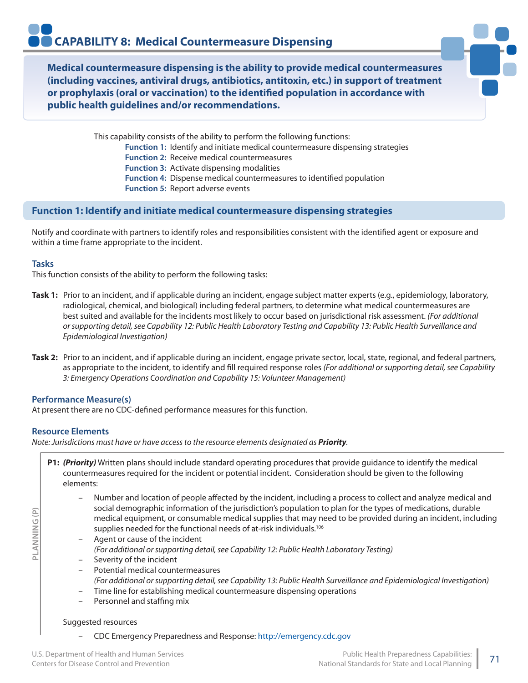**Medical countermeasure dispensing is the ability to provide medical countermeasures (including vaccines, antiviral drugs, antibiotics, antitoxin, etc.) in support of treatment or prophylaxis (oral or vaccination) to the identified population in accordance with public health guidelines and/or recommendations.**

> This capability consists of the ability to perform the following functions: **Function 1:** Identify and initiate medical countermeasure dispensing strategies **Function 2:** Receive medical countermeasures **Function 3:** Activate dispensing modalities **Function 4:** Dispense medical countermeasures to identified population **Function 5:** Report adverse events

# **Function 1: Identify and initiate medical countermeasure dispensing strategies**

Notify and coordinate with partners to identify roles and responsibilities consistent with the identified agent or exposure and within a time frame appropriate to the incident.

#### **Tasks**

This function consists of the ability to perform the following tasks:

- **Task 1:** Prior to an incident, and if applicable during an incident, engage subject matter experts (e.g., epidemiology, laboratory, radiological, chemical, and biological) including federal partners, to determine what medical countermeasures are best suited and available for the incidents most likely to occur based on jurisdictional risk assessment. *(For additional or supporting detail, see Capability 12: Public Health Laboratory Testing and Capability 13: Public Health Surveillance and Epidemiological Investigation)*
- **Task 2:** Prior to an incident, and if applicable during an incident, engage private sector, local, state, regional, and federal partners, as appropriate to the incident, to identify and fill required response roles *(For additional or supporting detail, see Capability 3: Emergency Operations Coordination and Capability 15: Volunteer Management)*

#### **Performance Measure(s)**

At present there are no CDC-defined performance measures for this function.

#### **Resource Elements**

**PLANNING (P)**

PLANNING (P)

*Note: Jurisdictions must have or have access to the resource elements designated as Priority.*

- **P1:** *(Priority)* Written plans should include standard operating procedures that provide guidance to identify the medical countermeasures required for the incident or potential incident. Consideration should be given to the following elements:
	- Number and location of people affected by the incident, including a process to collect and analyze medical and social demographic information of the jurisdiction's population to plan for the types of medications, durable medical equipment, or consumable medical supplies that may need to be provided during an incident, including supplies needed for the functional needs of at-risk individuals.<sup>106</sup>
	- Agent or cause of the incident *(For additional or supporting detail, see Capability 12: Public Health Laboratory Testing)*
	- Severity of the incident
	- Potential medical countermeasures *(For additional or supporting detail, see Capability 13: Public Health Surveillance and Epidemiological Investigation)*
	- Time line for establishing medical countermeasure dispensing operations
	- Personnel and staffing mix

#### Suggested resources

– CDC Emergency Preparedness and Response: http://emergency.cdc.gov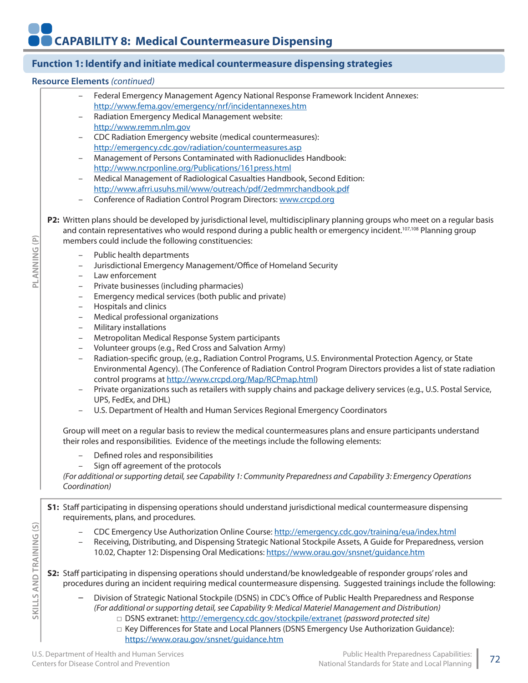# **Function 1: Identify and initiate medical countermeasure dispensing strategies**

#### **Resource Elements** *(continued)*

- Federal Emergency Management Agency National Response Framework Incident Annexes: http://www.fema.gov/emergency/nrf/incidentannexes.htm
- Radiation Emergency Medical Management website: http://www.remm.nlm.gov
- CDC Radiation Emergency website (medical countermeasures): http://emergency.cdc.gov/radiation/countermeasures.asp
- Management of Persons Contaminated with Radionuclides Handbook: http://www.ncrponline.org/Publications/161press.html
- Medical Management of Radiological Casualties Handbook, Second Edition: http://www.afrri.usuhs.mil/www/outreach/pdf/2edmmrchandbook.pdf
- Conference of Radiation Control Program Directors: www.crcpd.org
- **P2:** Written plans should be developed by jurisdictional level, multidisciplinary planning groups who meet on a regular basis and contain representatives who would respond during a public health or emergency incident.<sup>107,108</sup> Planning group members could include the following constituencies:
	- Public health departments
	- Jurisdictional Emergency Management/Office of Homeland Security
	- Law enforcement
	- Private businesses (including pharmacies)
	- Emergency medical services (both public and private)
	- Hospitals and clinics
	- Medical professional organizations
	- Military installations
	- Metropolitan Medical Response System participants
	- Volunteer groups (e.g., Red Cross and Salvation Army)
	- Radiation-specific group, (e.g., Radiation Control Programs, U.S. Environmental Protection Agency, or State Environmental Agency). (The Conference of Radiation Control Program Directors provides a list of state radiation control programs at http://www.crcpd.org/Map/RCPmap.html)
	- Private organizations such as retailers with supply chains and package delivery services (e.g., U.S. Postal Service, UPS, FedEx, and DHL)
	- U.S. Department of Health and Human Services Regional Emergency Coordinators

Group will meet on a regular basis to review the medical countermeasures plans and ensure participants understand their roles and responsibilities. Evidence of the meetings include the following elements:

- Defined roles and responsibilities
- Sign off agreement of the protocols

*(For additional or supporting detail, see Capability 1: Community Preparedness and Capability 3: Emergency Operations Coordination)*

**S1:** Staff participating in dispensing operations should understand jurisdictional medical countermeasure dispensing requirements, plans, and procedures.

- CDC Emergency Use Authorization Online Course: http://emergency.cdc.gov/training/eua/index.html
- Receiving, Distributing, and Dispensing Strategic National Stockpile Assets, A Guide for Preparedness, version 10.02, Chapter 12: Dispensing Oral Medications: https://www.orau.gov/snsnet/guidance.htm
- **S2:** Staff participating in dispensing operations should understand/be knowledgeable of responder groups' roles and procedures during an incident requiring medical countermeasure dispensing. Suggested trainings include the following:
	- Division of Strategic National Stockpile (DSNS) in CDC's Office of Public Health Preparedness and Response *(For additional or supporting detail, see Capability 9: Medical Materiel Management and Distribution)*
		- □ DSNS extranet: http://emergency.cdc.gov/stockpile/extranet *(password protected site)*
		- □ Key Differences for State and Local Planners (DSNS Emergency Use Authorization Guidance): https://www.orau.gov/snsnet/guidance.htm

**PLANNING (P)**

PLANNING (P)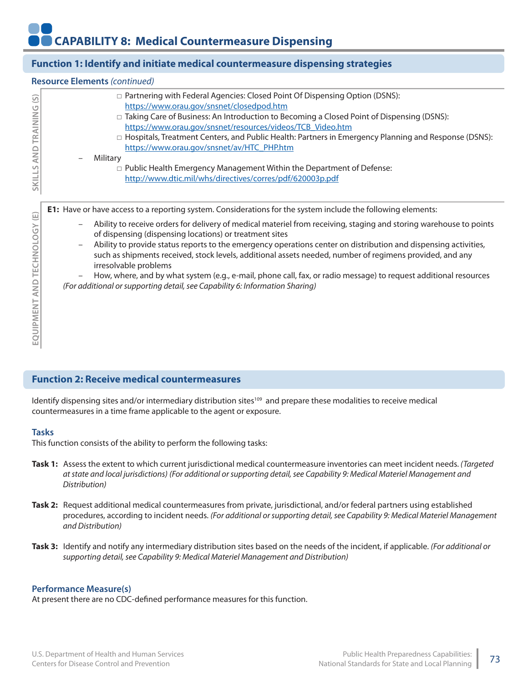# **Function 1: Identify and initiate medical countermeasure dispensing strategies**

#### **Resource Elements** *(continued)*

| $\odot$  | $\Box$ Partnering with Federal Agencies: Closed Point Of Dispensing Option (DSNS):<br>https://www.orau.gov/snsnet/closedpod.htm |
|----------|---------------------------------------------------------------------------------------------------------------------------------|
| TRAINING | □ Taking Care of Business: An Introduction to Becoming a Closed Point of Dispensing (DSNS):                                     |
|          | https://www.orau.gov/snsnet/resources/videos/TCB_Video.htm                                                                      |
|          | $\Box$ Hospitals, Treatment Centers, and Public Health: Partners in Emergency Planning and Response (DSNS):                     |
| AND      | https://www.orau.gov/snsnet/av/HTC_PHP.htm<br>Military<br>$\overline{\phantom{0}}$                                              |
|          | $\Box$ Public Health Emergency Management Within the Department of Defense:                                                     |
| SKILLS   | http://www.dtic.mil/whs/directives/corres/pdf/620003p.pdf                                                                       |
|          |                                                                                                                                 |

**E1:** Have or have access to a reporting system. Considerations for the system include the following elements:

- Ability to receive orders for delivery of medical materiel from receiving, staging and storing warehouse to points of dispensing (dispensing locations) or treatment sites
- Ability to provide status reports to the emergency operations center on distribution and dispensing activities, such as shipments received, stock levels, additional assets needed, number of regimens provided, and any irresolvable problems

– How, where, and by what system (e.g., e-mail, phone call, fax, or radio message) to request additional resources *(For additional or supporting detail, see Capability 6: Information Sharing)*

# **Function 2: Receive medical countermeasures**

Identify dispensing sites and/or intermediary distribution sites<sup>109</sup> and prepare these modalities to receive medical countermeasures in a time frame applicable to the agent or exposure.

#### **Tasks**

This function consists of the ability to perform the following tasks:

- **Task 1:** Assess the extent to which current jurisdictional medical countermeasure inventories can meet incident needs. *(Targeted at state and local jurisdictions) (For additional or supporting detail, see Capability 9: Medical Materiel Management and Distribution)*
- **Task 2:** Request additional medical countermeasures from private, jurisdictional, and/or federal partners using established procedures, according to incident needs. *(For additional or supporting detail, see Capability 9: Medical Materiel Management and Distribution)*
- **Task 3:** Identify and notify any intermediary distribution sites based on the needs of the incident, if applicable. *(For additional or supporting detail, see Capability 9: Medical Materiel Management and Distribution)*

#### **Performance Measure(s)**

At present there are no CDC-defined performance measures for this function.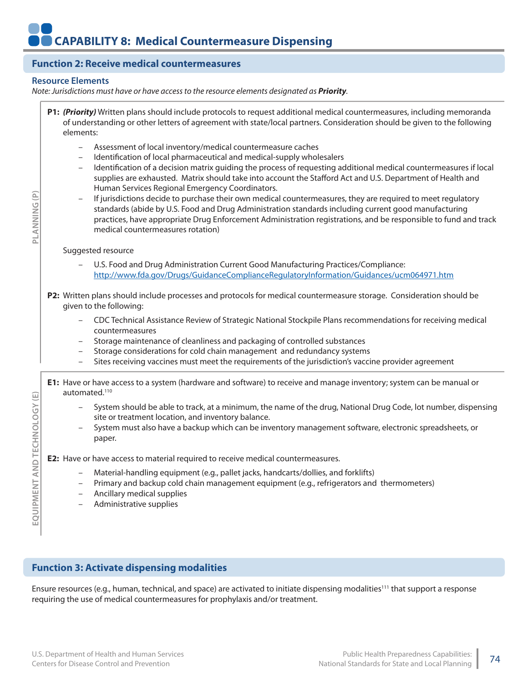# **Function 2: Receive medical countermeasures**

### **Resource Elements**

**PLANNING (P)**

PLANNING(P)

**EQUIPMENT AND TECHNOLOGY (E)**

EQUIPMENT AND TECHNOLOGY (E)

*Note: Jurisdictions must have or have access to the resource elements designated as Priority.*

| P1: (Priority) Written plans should include protocols to request additional medical countermeasures, including memoranda<br>of understanding or other letters of agreement with state/local partners. Consideration should be given to the following<br>elements:                                                                                                                                                                                                                                                                                                                                                                                                                                                                                                                                                                                                        |  |  |  |
|--------------------------------------------------------------------------------------------------------------------------------------------------------------------------------------------------------------------------------------------------------------------------------------------------------------------------------------------------------------------------------------------------------------------------------------------------------------------------------------------------------------------------------------------------------------------------------------------------------------------------------------------------------------------------------------------------------------------------------------------------------------------------------------------------------------------------------------------------------------------------|--|--|--|
| Assessment of local inventory/medical countermeasure caches<br>$\qquad \qquad -$<br>Identification of local pharmaceutical and medical-supply wholesalers<br>$\qquad \qquad -$<br>Identification of a decision matrix guiding the process of requesting additional medical countermeasures if local<br>$\qquad \qquad -$<br>supplies are exhausted. Matrix should take into account the Stafford Act and U.S. Department of Health and<br>Human Services Regional Emergency Coordinators.<br>If jurisdictions decide to purchase their own medical countermeasures, they are required to meet regulatory<br>standards (abide by U.S. Food and Drug Administration standards including current good manufacturing<br>practices, have appropriate Drug Enforcement Administration registrations, and be responsible to fund and track<br>medical countermeasures rotation) |  |  |  |
| Suggested resource                                                                                                                                                                                                                                                                                                                                                                                                                                                                                                                                                                                                                                                                                                                                                                                                                                                       |  |  |  |
| U.S. Food and Drug Administration Current Good Manufacturing Practices/Compliance:<br>http://www.fda.gov/Drugs/GuidanceComplianceRegulatoryInformation/Guidances/ucm064971.htm                                                                                                                                                                                                                                                                                                                                                                                                                                                                                                                                                                                                                                                                                           |  |  |  |
| P2: Written plans should include processes and protocols for medical countermeasure storage. Consideration should be<br>given to the following:                                                                                                                                                                                                                                                                                                                                                                                                                                                                                                                                                                                                                                                                                                                          |  |  |  |
| CDC Technical Assistance Review of Strategic National Stockpile Plans recommendations for receiving medical<br>countermeasures<br>Storage maintenance of cleanliness and packaging of controlled substances                                                                                                                                                                                                                                                                                                                                                                                                                                                                                                                                                                                                                                                              |  |  |  |
| Storage considerations for cold chain management and redundancy systems<br>$\overline{\phantom{m}}$<br>Sites receiving vaccines must meet the requirements of the jurisdiction's vaccine provider agreement<br>$\qquad \qquad -$                                                                                                                                                                                                                                                                                                                                                                                                                                                                                                                                                                                                                                         |  |  |  |
| E1: Have or have access to a system (hardware and software) to receive and manage inventory; system can be manual or<br>automated. <sup>110</sup>                                                                                                                                                                                                                                                                                                                                                                                                                                                                                                                                                                                                                                                                                                                        |  |  |  |
| System should be able to track, at a minimum, the name of the drug, National Drug Code, lot number, dispensing<br>$\overline{\phantom{a}}$<br>site or treatment location, and inventory balance.<br>System must also have a backup which can be inventory management software, electronic spreadsheets, or<br>paper.                                                                                                                                                                                                                                                                                                                                                                                                                                                                                                                                                     |  |  |  |
| E2: Have or have access to material required to receive medical countermeasures.                                                                                                                                                                                                                                                                                                                                                                                                                                                                                                                                                                                                                                                                                                                                                                                         |  |  |  |
| Material-handling equipment (e.g., pallet jacks, handcarts/dollies, and forklifts)<br>$\qquad \qquad -$<br>Primary and backup cold chain management equipment (e.g., refrigerators and thermometers)<br>Ancillary medical supplies<br>$\qquad \qquad -$<br>Administrative supplies<br>$\qquad \qquad -$                                                                                                                                                                                                                                                                                                                                                                                                                                                                                                                                                                  |  |  |  |

# **Function 3: Activate dispensing modalities**

Ensure resources (e.g., human, technical, and space) are activated to initiate dispensing modalities<sup>111</sup> that support a response requiring the use of medical countermeasures for prophylaxis and/or treatment.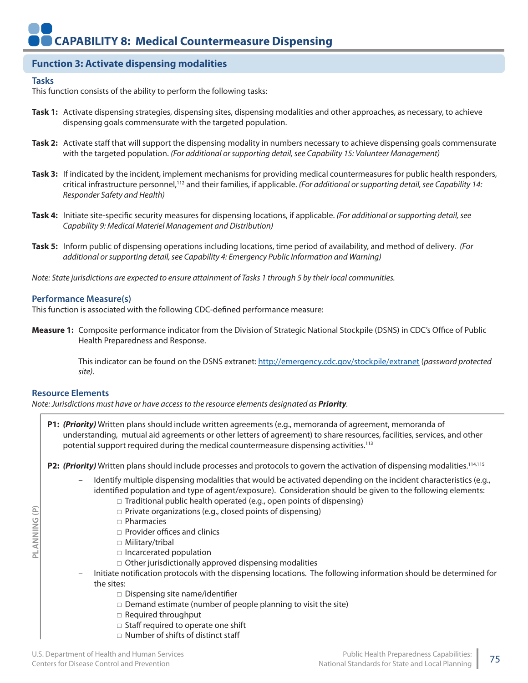# **Function 3: Activate dispensing modalities**

#### **Tasks**

This function consists of the ability to perform the following tasks:

- **Task 1:** Activate dispensing strategies, dispensing sites, dispensing modalities and other approaches, as necessary, to achieve dispensing goals commensurate with the targeted population.
- **Task 2:** Activate staff that will support the dispensing modality in numbers necessary to achieve dispensing goals commensurate with the targeted population. *(For additional or supporting detail, see Capability 15: Volunteer Management)*
- **Task 3:** If indicated by the incident, implement mechanisms for providing medical countermeasures for public health responders, critical infrastructure personnel,112 and their families, if applicable. *(For additional or supporting detail, see Capability 14: Responder Safety and Health)*
- **Task 4:** Initiate site-specific security measures for dispensing locations, if applicable. *(For additional or supporting detail, see Capability 9: Medical Materiel Management and Distribution)*
- **Task 5:** Inform public of dispensing operations including locations, time period of availability, and method of delivery. *(For additional or supporting detail, see Capability 4: Emergency Public Information and Warning)*

*Note: State jurisdictions are expected to ensure attainment of Tasks 1 through 5 by their local communities.*

#### **Performance Measure(s)**

This function is associated with the following CDC-defined performance measure:

**Measure 1:** Composite performance indicator from the Division of Strategic National Stockpile (DSNS) in CDC's Office of Public Health Preparedness and Response.

> This indicator can be found on the DSNS extranet: http://emergency.cdc.gov/stockpile/extranet (*password protected site).*

#### **Resource Elements**

**PLANNING (P)**

PLANNING (P)

*Note: Jurisdictions must have or have access to the resource elements designated as Priority.*

**P1:** *(Priority)* Written plans should include written agreements (e.g., memoranda of agreement, memoranda of understanding, mutual aid agreements or other letters of agreement) to share resources, facilities, services, and other potential support required during the medical countermeasure dispensing activities.<sup>113</sup>

**P2:** *(Priority)* Written plans should include processes and protocols to govern the activation of dispensing modalities.114,115

- Identify multiple dispensing modalities that would be activated depending on the incident characteristics (e.g., identified population and type of agent/exposure). Consideration should be given to the following elements:
	- $\Box$  Traditional public health operated (e.g., open points of dispensing)
	- □ Private organizations (e.g., closed points of dispensing)
	- □ Pharmacies
	- □ Provider offices and clinics
	- □ Militarv/tribal
	- □ Incarcerated population
	- □ Other jurisdictionally approved dispensing modalities
- Initiate notification protocols with the dispensing locations. The following information should be determined for the sites:
	- □ Dispensing site name/identifier
	- $\square$  Demand estimate (number of people planning to visit the site)
	- □ Required throughput
	- □ Staff required to operate one shift
	- □ Number of shifts of distinct staff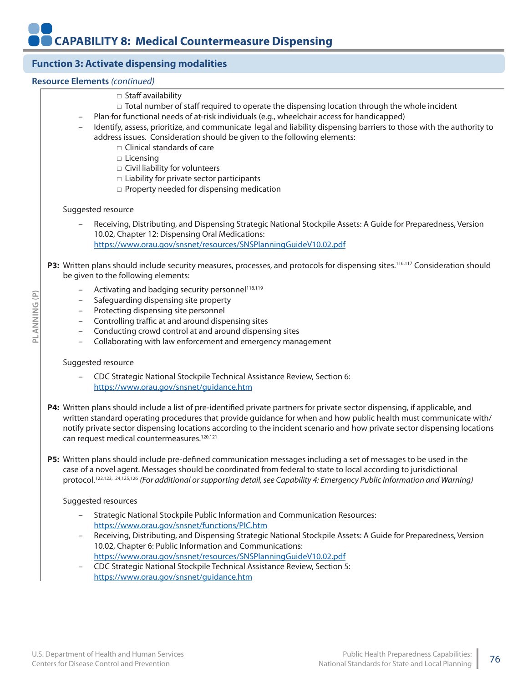# **Function 3: Activate dispensing modalities**

#### **Resource Elements** *(continued)*

**PLANNING (P)**

PLANNING (P)

| $\overline{\phantom{a}}$<br>$\overline{\phantom{a}}$                                                                                                                                                                                                                                                                                                                                                                                      | □ Staff availability<br>$\Box$ Total number of staff required to operate the dispensing location through the whole incident<br>Plan-for functional needs of at-risk individuals (e.g., wheelchair access for handicapped)<br>Identify, assess, prioritize, and communicate legal and liability dispensing barriers to those with the authority to<br>address issues. Consideration should be given to the following elements:<br>$\Box$ Clinical standards of care<br>□ Licensing<br>□ Civil liability for volunteers<br>$\square$ Liability for private sector participants<br>$\Box$ Property needed for dispensing medication |  |  |
|-------------------------------------------------------------------------------------------------------------------------------------------------------------------------------------------------------------------------------------------------------------------------------------------------------------------------------------------------------------------------------------------------------------------------------------------|----------------------------------------------------------------------------------------------------------------------------------------------------------------------------------------------------------------------------------------------------------------------------------------------------------------------------------------------------------------------------------------------------------------------------------------------------------------------------------------------------------------------------------------------------------------------------------------------------------------------------------|--|--|
|                                                                                                                                                                                                                                                                                                                                                                                                                                           | Suggested resource                                                                                                                                                                                                                                                                                                                                                                                                                                                                                                                                                                                                               |  |  |
|                                                                                                                                                                                                                                                                                                                                                                                                                                           | Receiving, Distributing, and Dispensing Strategic National Stockpile Assets: A Guide for Preparedness, Version<br>10.02, Chapter 12: Dispensing Oral Medications:<br>https://www.orau.gov/snsnet/resources/SNSPlanningGuideV10.02.pdf                                                                                                                                                                                                                                                                                                                                                                                            |  |  |
|                                                                                                                                                                                                                                                                                                                                                                                                                                           | P3: Written plans should include security measures, processes, and protocols for dispensing sites. <sup>116,117</sup> Consideration should<br>be given to the following elements:                                                                                                                                                                                                                                                                                                                                                                                                                                                |  |  |
| $\overline{\phantom{a}}$<br>$\overline{\phantom{a}}$<br>$\overline{\phantom{m}}$<br>$\overline{\phantom{a}}$<br>$\overline{\phantom{a}}$<br>$\overline{\phantom{m}}$                                                                                                                                                                                                                                                                      | Activating and badging security personnel <sup>118,119</sup><br>Safeguarding dispensing site property<br>Protecting dispensing site personnel<br>Controlling traffic at and around dispensing sites<br>Conducting crowd control at and around dispensing sites<br>Collaborating with law enforcement and emergency management                                                                                                                                                                                                                                                                                                    |  |  |
| Suggested resource                                                                                                                                                                                                                                                                                                                                                                                                                        |                                                                                                                                                                                                                                                                                                                                                                                                                                                                                                                                                                                                                                  |  |  |
|                                                                                                                                                                                                                                                                                                                                                                                                                                           | CDC Strategic National Stockpile Technical Assistance Review, Section 6:<br>https://www.orau.gov/snsnet/guidance.htm                                                                                                                                                                                                                                                                                                                                                                                                                                                                                                             |  |  |
| P4: Written plans should include a list of pre-identified private partners for private sector dispensing, if applicable, and<br>written standard operating procedures that provide guidance for when and how public health must communicate with/<br>notify private sector dispensing locations according to the incident scenario and how private sector dispensing locations<br>can request medical countermeasures. <sup>120,121</sup> |                                                                                                                                                                                                                                                                                                                                                                                                                                                                                                                                                                                                                                  |  |  |
|                                                                                                                                                                                                                                                                                                                                                                                                                                           | P5: Written plans should include pre-defined communication messages including a set of messages to be used in the<br>case of a novel agent. Messages should be coordinated from federal to state to local according to jurisdictional<br>protocol. <sup>122,123,124,125,126</sup> (For additional or supporting detail, see Capability 4: Emergency Public Information and Warning)                                                                                                                                                                                                                                              |  |  |
|                                                                                                                                                                                                                                                                                                                                                                                                                                           | Suggested resources                                                                                                                                                                                                                                                                                                                                                                                                                                                                                                                                                                                                              |  |  |
|                                                                                                                                                                                                                                                                                                                                                                                                                                           | Strategic National Stockpile Public Information and Communication Resources:<br>https://www.orau.gov/snsnet/functions/PIC.htm                                                                                                                                                                                                                                                                                                                                                                                                                                                                                                    |  |  |
| $\overline{\phantom{m}}$                                                                                                                                                                                                                                                                                                                                                                                                                  | Receiving, Distributing, and Dispensing Strategic National Stockpile Assets: A Guide for Preparedness, Version<br>10.02, Chapter 6: Public Information and Communications:<br>https://www.orau.gov/snsnet/resources/SNSPlanningGuideV10.02.pdf                                                                                                                                                                                                                                                                                                                                                                                   |  |  |
| $\overline{\phantom{m}}$                                                                                                                                                                                                                                                                                                                                                                                                                  | CDC Strategic National Stockpile Technical Assistance Review, Section 5:<br>https://www.orau.gov/snsnet/guidance.htm                                                                                                                                                                                                                                                                                                                                                                                                                                                                                                             |  |  |
|                                                                                                                                                                                                                                                                                                                                                                                                                                           |                                                                                                                                                                                                                                                                                                                                                                                                                                                                                                                                                                                                                                  |  |  |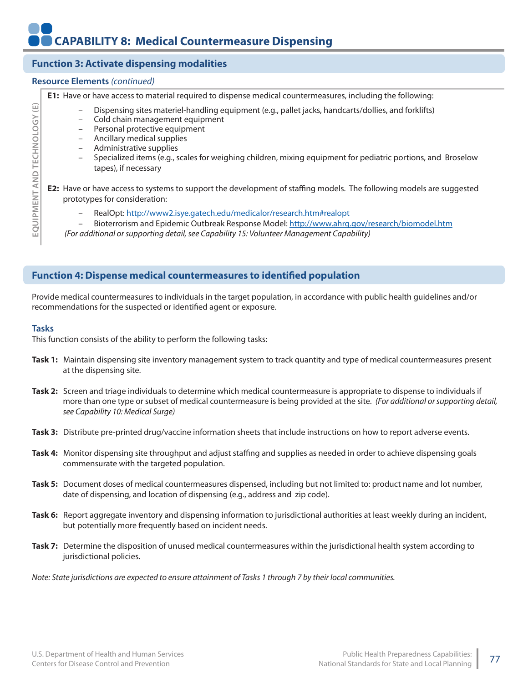# **CAPABILITY 8: Medical Countermeasure Dispensing**

# Θ **EQUIPMENT AND TECHNOLOGY (E)** EQUIPMENT AND TECHNOLOGY

# **Function 3: Activate dispensing modalities**

#### **Resource Elements** *(continued)*

**E1:** Have or have access to material required to dispense medical countermeasures, including the following:

- Dispensing sites materiel-handling equipment (e.g., pallet jacks, handcarts/dollies, and forklifts)
- Cold chain management equipment
- Personal protective equipment
- Ancillary medical supplies
- Administrative supplies
- Specialized items (e.g., scales for weighing children, mixing equipment for pediatric portions, and Broselow tapes), if necessary

**E2:** Have or have access to systems to support the development of staffing models. The following models are suggested prototypes for consideration:

- RealOpt: http://www2.isye.gatech.edu/medicalor/research.htm#realopt
- Bioterrorism and Epidemic Outbreak Response Model: http://www.ahrq.gov/research/biomodel.htm

 *(For additional or supporting detail, see Capability 15: Volunteer Management Capability)*

#### **Function 4: Dispense medical countermeasures to identified population**

Provide medical countermeasures to individuals in the target population, in accordance with public health guidelines and/or recommendations for the suspected or identified agent or exposure.

#### **Tasks**

This function consists of the ability to perform the following tasks:

- **Task 1:** Maintain dispensing site inventory management system to track quantity and type of medical countermeasures present at the dispensing site.
- **Task 2:** Screen and triage individuals to determine which medical countermeasure is appropriate to dispense to individuals if more than one type or subset of medical countermeasure is being provided at the site. *(For additional or supporting detail, see Capability 10: Medical Surge)*
- **Task 3:** Distribute pre-printed drug/vaccine information sheets that include instructions on how to report adverse events.
- **Task 4:** Monitor dispensing site throughput and adjust staffing and supplies as needed in order to achieve dispensing goals commensurate with the targeted population.
- **Task 5:** Document doses of medical countermeasures dispensed, including but not limited to: product name and lot number, date of dispensing, and location of dispensing (e.g., address and zip code).
- **Task 6:** Report aggregate inventory and dispensing information to jurisdictional authorities at least weekly during an incident, but potentially more frequently based on incident needs.
- **Task 7:** Determine the disposition of unused medical countermeasures within the jurisdictional health system according to jurisdictional policies.
- *Note: State jurisdictions are expected to ensure attainment of Tasks 1 through 7 by their local communities.*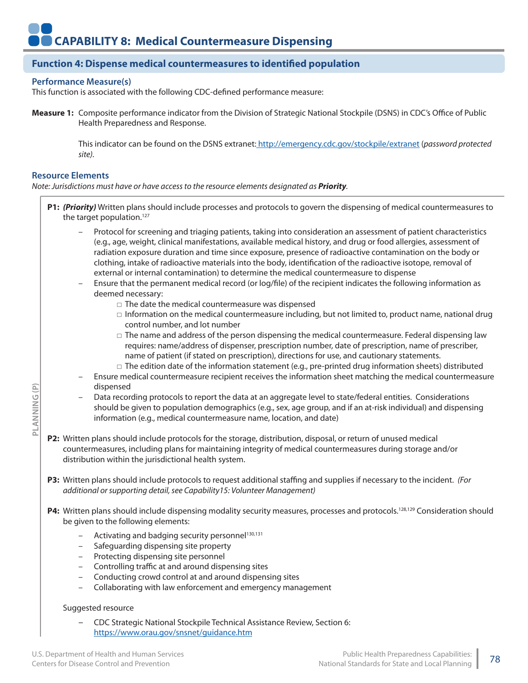# **Function 4: Dispense medical countermeasures to identified population**

#### **Performance Measure(s)**

This function is associated with the following CDC-defined performance measure:

**Measure 1:** Composite performance indicator from the Division of Strategic National Stockpile (DSNS) in CDC's Office of Public Health Preparedness and Response.

> This indicator can be found on the DSNS extranet: http://emergency.cdc.gov/stockpile/extranet (*password protected site).*

#### **Resource Elements**

**PLANNING (P)**

PLANNING (P)

*Note: Jurisdictions must have or have access to the resource elements designated as Priority.*

- **P1:** *(Priority)* Written plans should include processes and protocols to govern the dispensing of medical countermeasures to the target population.<sup>127</sup>
	- Protocol for screening and triaging patients, taking into consideration an assessment of patient characteristics (e.g., age, weight, clinical manifestations, available medical history, and drug or food allergies, assessment of radiation exposure duration and time since exposure, presence of radioactive contamination on the body or clothing, intake of radioactive materials into the body, identification of the radioactive isotope, removal of external or internal contamination) to determine the medical countermeasure to dispense
	- Ensure that the permanent medical record (or log/file) of the recipient indicates the following information as deemed necessary:
		- □ The date the medical countermeasure was dispensed
		- $\Box$  Information on the medical countermeasure including, but not limited to, product name, national drug control number, and lot number
		- $\square$  The name and address of the person dispensing the medical countermeasure. Federal dispensing law requires: name/address of dispenser, prescription number, date of prescription, name of prescriber, name of patient (if stated on prescription), directions for use, and cautionary statements.
		- $\Box$  The edition date of the information statement (e.g., pre-printed drug information sheets) distributed
	- Ensure medical countermeasure recipient receives the information sheet matching the medical countermeasure dispensed
	- Data recording protocols to report the data at an aggregate level to state/federal entities. Considerations should be given to population demographics (e.g., sex, age group, and if an at-risk individual) and dispensing information (e.g., medical countermeasure name, location, and date)
- **P2:** Written plans should include protocols for the storage, distribution, disposal, or return of unused medical countermeasures, including plans for maintaining integrity of medical countermeasures during storage and/or distribution within the jurisdictional health system.
- **P3:** Written plans should include protocols to request additional staffing and supplies if necessary to the incident. *(For additional or supporting detail, see Capability15: Volunteer Management)*
- P4: Written plans should include dispensing modality security measures, processes and protocols.<sup>128,129</sup> Consideration should be given to the following elements:
	- Activating and badging security personnel<sup>130,131</sup>
	- Safeguarding dispensing site property
	- Protecting dispensing site personnel
	- Controlling traffic at and around dispensing sites
	- Conducting crowd control at and around dispensing sites
	- Collaborating with law enforcement and emergency management

#### Suggested resource

– CDC Strategic National Stockpile Technical Assistance Review, Section 6: https://www.orau.gov/snsnet/guidance.htm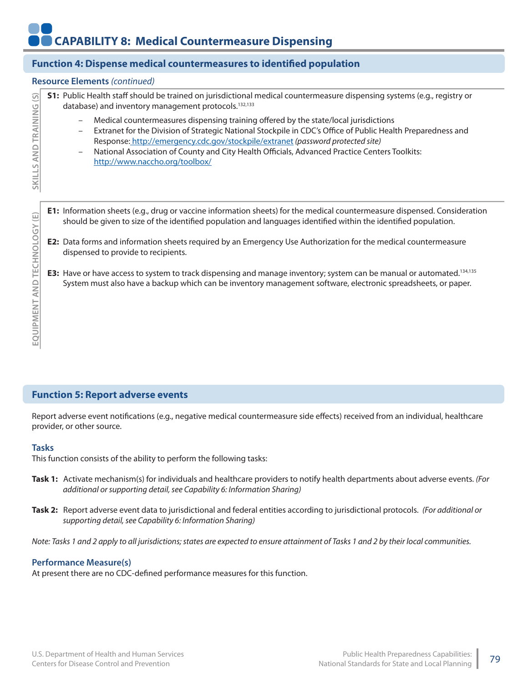# **Function 4: Dispense medical countermeasures to identified population**

#### **Resource Elements** *(continued)*

**S1:** Public Health staff should be trained on jurisdictional medical countermeasure dispensing systems (e.g., registry or  $\widehat{S}$ **SKILLS AND TRAINING (S)** database) and inventory management protocols.<sup>132,133</sup> SKILLS AND TRAINING

- Medical countermeasures dispensing training offered by the state/local jurisdictions
- Extranet for the Division of Strategic National Stockpile in CDC's Office of Public Health Preparedness and Response: http://emergency.cdc.gov/stockpile/extranet *(password protected site)*
- National Association of County and City Health Officials, Advanced Practice Centers Toolkits: http://www.naccho.org/toolbox/
- **E1:** Information sheets (e.g., drug or vaccine information sheets) for the medical countermeasure dispensed. Consideration should be given to size of the identified population and languages identified within the identified population.
- **E2:** Data forms and information sheets required by an Emergency Use Authorization for the medical countermeasure dispensed to provide to recipients.
- **E3:** Have or have access to system to track dispensing and manage inventory; system can be manual or automated.134,135 System must also have a backup which can be inventory management software, electronic spreadsheets, or paper.

# **Function 5: Report adverse events**

Report adverse event notifications (e.g., negative medical countermeasure side effects) received from an individual, healthcare provider, or other source.

#### **Tasks**

This function consists of the ability to perform the following tasks:

- **Task 1:** Activate mechanism(s) for individuals and healthcare providers to notify health departments about adverse events. *(For additional or supporting detail, see Capability 6: Information Sharing)*
- **Task 2:** Report adverse event data to jurisdictional and federal entities according to jurisdictional protocols. *(For additional or supporting detail, see Capability 6: Information Sharing)*

*Note: Tasks 1 and 2 apply to all jurisdictions; states are expected to ensure attainment of Tasks 1 and 2 by their local communities.*

#### **Performance Measure(s)**

At present there are no CDC-defined performance measures for this function.